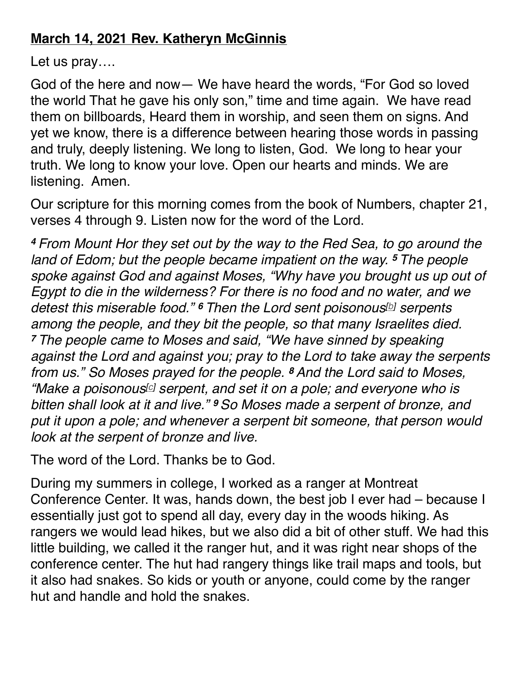## **March 14, 2021 Rev. Katheryn McGinnis**

Let us pray….

God of the here and now— We have heard the words, "For God so loved the world That he gave his only son," time and time again. We have read them on billboards, Heard them in worship, and seen them on signs. And yet we know, there is a difference between hearing those words in passing and truly, deeply listening. We long to listen, God. We long to hear your truth. We long to know your love. Open our hearts and minds. We are listening. Amen.

Our scripture for this morning comes from the book of Numbers, chapter 21, verses 4 through 9. Listen now for the word of the Lord.

*<sup>4</sup> From Mount Hor they set out by the way to the Red Sea, to go around the land of Edom; but the people became impatient on the way. <sup>5</sup> The people spoke against God and against Moses, "Why have you brought us up out of Egypt to die in the wilderness? For there is no food and no water, and we detest this miserable food." <sup>6</sup> Then the Lord sent poisonous[\[b](https://www.biblegateway.com/passage/?search=Numbers%2021:4-9&version=NRSV%22%20%5Cl%20%22fen-NRSV-4347b%22%20%5Co%20%22See%20footnote%20b)] serpents among the people, and they bit the people, so that many Israelites died. <sup>7</sup> The people came to Moses and said, "We have sinned by speaking against the Lord and against you; pray to the Lord to take away the serpents from us." So Moses prayed for the people. <sup>8</sup> And the Lord said to Moses, "Make a poisonous[\[c\]](https://www.biblegateway.com/passage/?search=Numbers%2021:4-9&version=NRSV%22%20%5Cl%20%22fen-NRSV-4349c%22%20%5Co%20%22See%20footnote%20c) serpent, and set it on a pole; and everyone who is bitten shall look at it and live." <sup>9</sup> So Moses made a serpent of bronze, and put it upon a pole; and whenever a serpent bit someone, that person would look at the serpent of bronze and live.*

The word of the Lord. Thanks be to God.

During my summers in college, I worked as a ranger at Montreat Conference Center. It was, hands down, the best job I ever had – because I essentially just got to spend all day, every day in the woods hiking. As rangers we would lead hikes, but we also did a bit of other stuff. We had this little building, we called it the ranger hut, and it was right near shops of the conference center. The hut had rangery things like trail maps and tools, but it also had snakes. So kids or youth or anyone, could come by the ranger hut and handle and hold the snakes.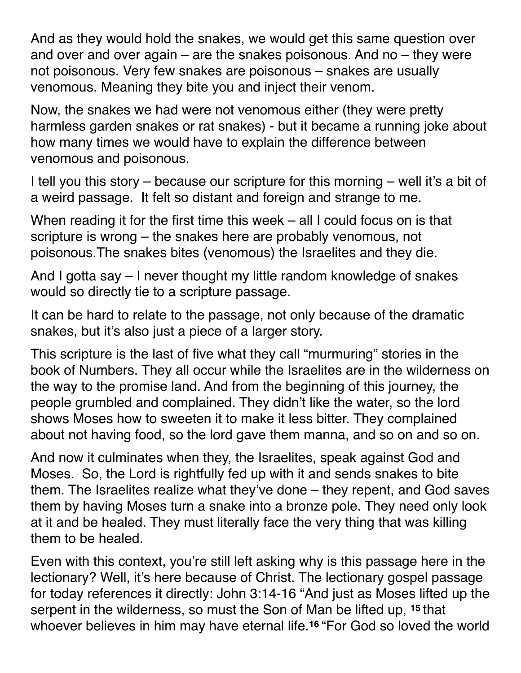And as they would hold the snakes, we would get this same question over and over and over again  $-$  are the snakes poisonous. And no  $-$  they were not poisonous. Very few snakes are poisonous – snakes are usually venomous. Meaning they bite you and inject their venom.

Now, the snakes we had were not venomous either (they were pretty harmless garden snakes or rat snakes) - but it became a running joke about how many times we would have to explain the difference between venomous and poisonous.

I tell you this story – because our scripture for this morning – well it's a bit of a weird passage. It felt so distant and foreign and strange to me.

When reading it for the first time this week – all I could focus on is that scripture is wrong – the snakes here are probably venomous, not poisonous.The snakes bites (venomous) the Israelites and they die.

And I gotta say – I never thought my little random knowledge of snakes would so directly tie to a scripture passage.

It can be hard to relate to the passage, not only because of the dramatic snakes, but it's also just a piece of a larger story.

This scripture is the last of five what they call "murmuring" stories in the book of Numbers. They all occur while the Israelites are in the wilderness on the way to the promise land. And from the beginning of this journey, the people grumbled and complained. They didn't like the water, so the lord shows Moses how to sweeten it to make it less bitter. They complained about not having food, so the lord gave them manna, and so on and so on.

And now it culminates when they, the Israelites, speak against God and Moses. So, the Lord is rightfully fed up with it and sends snakes to bite them. The Israelites realize what they've done – they repent, and God saves them by having Moses turn a snake into a bronze pole. They need only look at it and be healed. They must literally face the very thing that was killing them to be healed.

Even with this context, you're still left asking why is this passage here in the lectionary? Well, it's here because of Christ. The lectionary gospel passage for today references it directly: John 3:14-16 "And just as Moses lifted up the serpent in the wilderness, so must the Son of Man be lifted up, **<sup>15</sup>** that whoever believes in him may have eternal life.**<sup>16</sup>** "For God so loved the world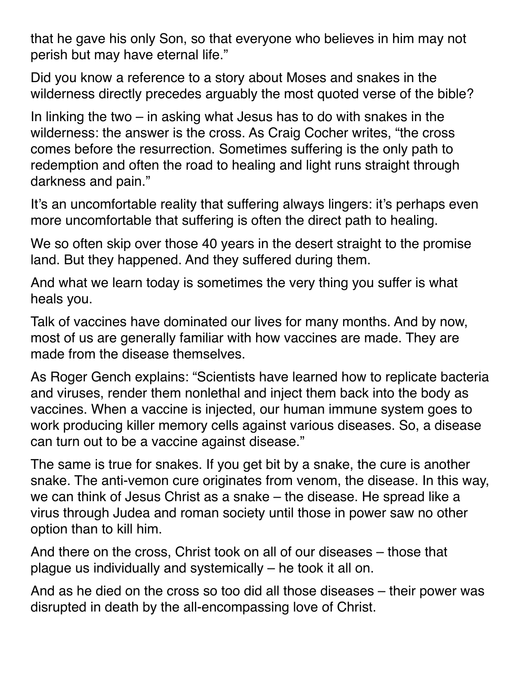that he gave his only Son, so that everyone who believes in him may not perish but may have eternal life."

Did you know a reference to a story about Moses and snakes in the wilderness directly precedes arguably the most quoted verse of the bible?

In linking the two – in asking what Jesus has to do with snakes in the wilderness: the answer is the cross. As Craig Cocher writes, "the cross comes before the resurrection. Sometimes suffering is the only path to redemption and often the road to healing and light runs straight through darkness and pain."

It's an uncomfortable reality that suffering always lingers: it's perhaps even more uncomfortable that suffering is often the direct path to healing.

We so often skip over those 40 years in the desert straight to the promise land. But they happened. And they suffered during them.

And what we learn today is sometimes the very thing you suffer is what heals you.

Talk of vaccines have dominated our lives for many months. And by now, most of us are generally familiar with how vaccines are made. They are made from the disease themselves.

As Roger Gench explains: "Scientists have learned how to replicate bacteria and viruses, render them nonlethal and inject them back into the body as vaccines. When a vaccine is injected, our human immune system goes to work producing killer memory cells against various diseases. So, a disease can turn out to be a vaccine against disease."

The same is true for snakes. If you get bit by a snake, the cure is another snake. The anti-vemon cure originates from venom, the disease. In this way, we can think of Jesus Christ as a snake – the disease. He spread like a virus through Judea and roman society until those in power saw no other option than to kill him.

And there on the cross, Christ took on all of our diseases – those that plague us individually and systemically – he took it all on.

And as he died on the cross so too did all those diseases – their power was disrupted in death by the all-encompassing love of Christ.